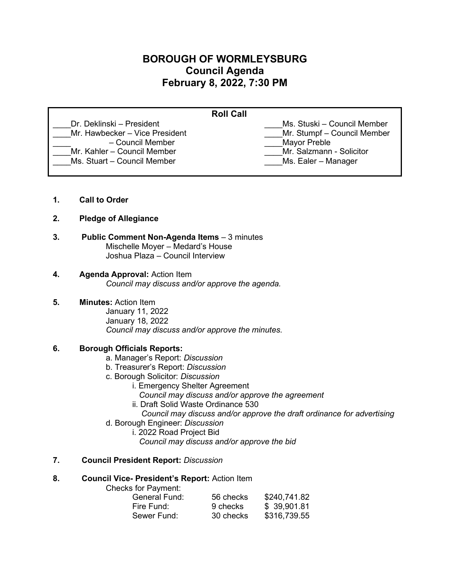# **BOROUGH OF WORMLEYSBURG Council Agenda February 8, 2022, 7:30 PM**

| <b>Roll Call</b>               |                             |  |
|--------------------------------|-----------------------------|--|
| Dr. Deklinski – President      | Ms. Stuski – Council Member |  |
| Mr. Hawbecker - Vice President | Mr. Stumpf - Council Member |  |
| - Council Member               | <b>Mayor Preble</b>         |  |
| Mr. Kahler - Council Member    | Mr. Salzmann - Solicitor    |  |
| Ms. Stuart - Council Member    | Ms. Ealer - Manager         |  |
|                                |                             |  |

- **1. Call to Order**
- **2. Pledge of Allegiance**
- **3. Public Comment Non-Agenda Items** 3 minutes Mischelle Moyer – Medard's House Joshua Plaza – Council Interview
- **4. Agenda Approval:** Action Item *Council may discuss and/or approve the agenda.*
- **5. Minutes:** Action Item

January 11, 2022 January 18, 2022 *Council may discuss and/or approve the minutes.* 

# **6. Borough Officials Reports:**

- a. Manager's Report: *Discussion*
- b. Treasurer's Report: *Discussion*
- c. Borough Solicitor: *Discussion*
	- i. Emergency Shelter Agreement
		- *Council may discuss and/or approve the agreement*
	- ii. Draft Solid Waste Ordinance 530
		- *Council may discuss and/or approve the draft ordinance for advertising*
- d. Borough Engineer: *Discussion*
	- i. 2022 Road Project Bid
		- *Council may discuss and/or approve the bid*

# **7. Council President Report:** *Discussion*

# **8. Council Vice- President's Report:** Action Item

Checks for Payment:

| General Fund: | 56 checks | \$240,741.82 |
|---------------|-----------|--------------|
| Fire Fund:    | 9 checks  | \$39,901.81  |
| Sewer Fund:   | 30 checks | \$316,739.55 |